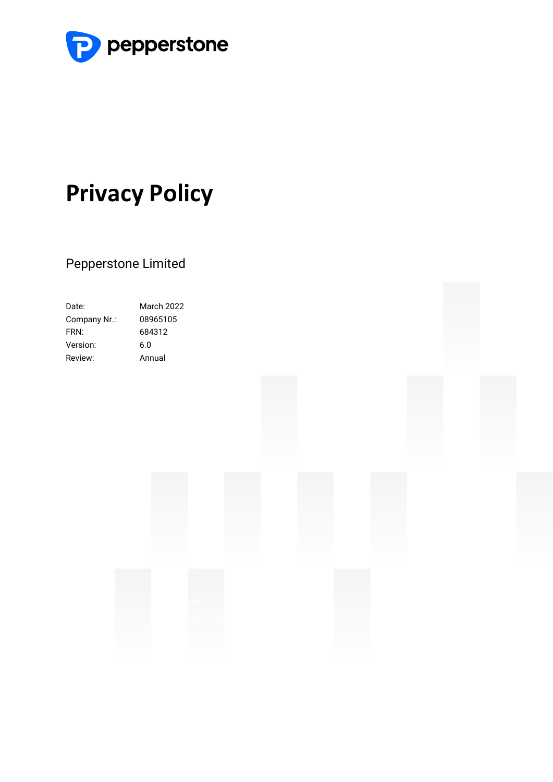

# **Privacy Policy**

### Pepperstone Limited

| Date:        | March 2022 |
|--------------|------------|
| Company Nr.: | 08965105   |
| FRN:         | 684312     |
| Version:     | 6.0        |
| Review:      | Annual     |
|              |            |

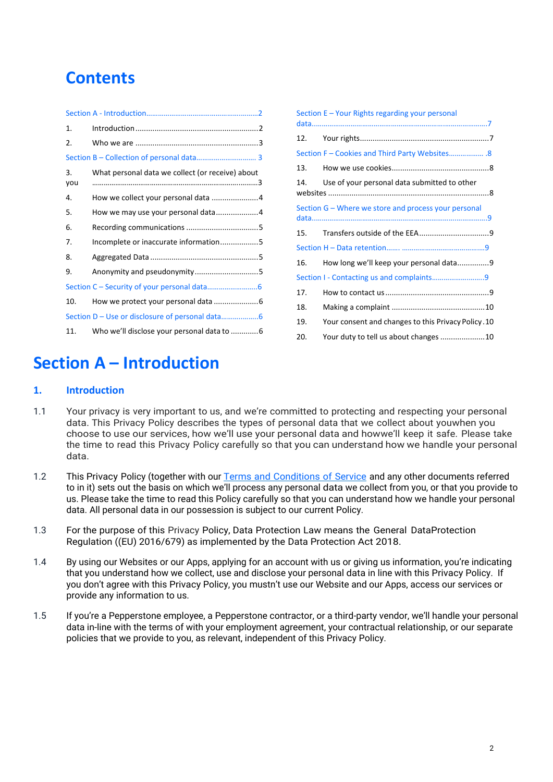## **Contents**

| 1.        |                                                  |  |
|-----------|--------------------------------------------------|--|
| 2.        |                                                  |  |
|           |                                                  |  |
| 3.<br>you | What personal data we collect (or receive) about |  |
| 4.        |                                                  |  |
| 5.        | How we may use your personal data4               |  |
| 6.        |                                                  |  |
| 7.        | Incomplete or inaccurate information5            |  |
| 8.        |                                                  |  |
| 9.        |                                                  |  |
|           |                                                  |  |
| 10.       |                                                  |  |
|           |                                                  |  |
| 11.       |                                                  |  |

|     | Section E – Your Rights regarding your personal      |
|-----|------------------------------------------------------|
| 12. |                                                      |
|     |                                                      |
| 13. |                                                      |
| 14. | Use of your personal data submitted to other         |
|     | Section G – Where we store and process your personal |
|     |                                                      |
| 15. |                                                      |
|     |                                                      |
| 16. | How long we'll keep your personal data9              |
|     | Section I - Contacting us and complaints9            |
| 17. |                                                      |
| 18. |                                                      |
| 19. | Your consent and changes to this Privacy Policy.10   |

### <span id="page-1-0"></span>**Section A – Introduction**

### <span id="page-1-1"></span>**1. Introduction**

- 1.1 Your privacy is very important to us, and we're committed to protecting and respecting your personal data. This Privacy Policy describes the types of personal data that we collect about youwhen you choose to use our services, how we'll use your personal data and howwe'll keep it safe. Please take the time to read this Privacy Policy carefully so that you can understand how we handle your personal data.
- 1.2 This Privacy Policy (together with our Terms and [Conditions](https://files.pepperstone.com/legal/UK_EU/UK_Ts_and_Cs.pdf) of Service and any other documents referred to in it) sets out the basis on which we'll process any personal data we collect from you, or that you provide to us. Please take the time to read this Policy carefully so that you can understand how we handle your personal data. All personal data in our possession is subject to our current Policy.
- 1.3 For the purpose of this Privacy Policy, Data Protection Law means the General DataProtection Regulation ((EU) 2016/679) as implemented by the Data Protection Act 2018.
- 1.4 By using our Websites or our Apps, applying for an account with us or giving us information, you're indicating that you understand how we collect, use and disclose your personal data in line with this Privacy Policy. If you don't agree with this Privacy Policy, you mustn't use our Website and our Apps, access our services or provide any information to us.
- 1.5 If you're a Pepperstone employee, a Pepperstone contractor, or a third-party vendor, we'll handle your personal data in-line with the terms of with your employment agreement, your contractual relationship, or our separate policies that we provide to you, as relevant, independent of this Privacy Policy.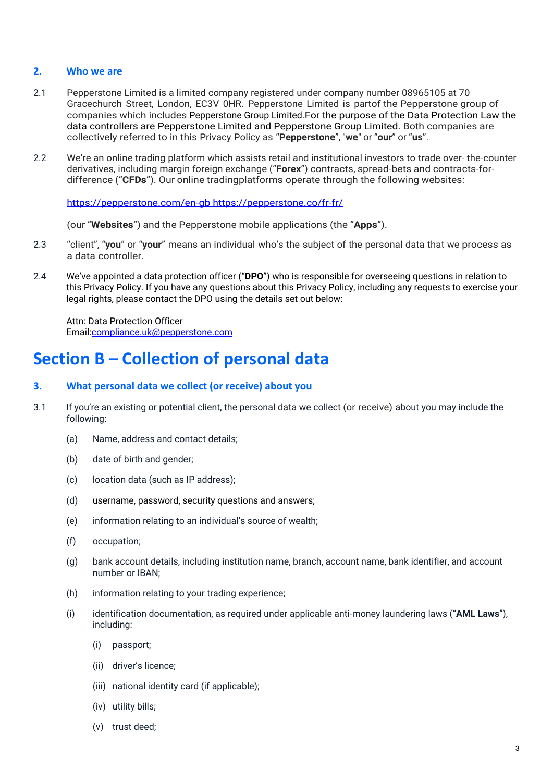### <span id="page-2-0"></span>**2. Who we are**

- 2.1 Pepperstone Limited is a limited company registered under company number 08965105 at 70 Gracechurch Street, London, EC3V 0HR. Pepperstone Limited is partof the Pepperstone group of companies which includes Pepperstone Group Limited.For the purpose of the Data Protection Law the data controllers are Pepperstone Limited and Pepperstone Group Limited. Both companies are collectively referred to in this Privacy Policy as "**Pepperstone**", "**we**" or "**our**" or "**us**".
- 2.2 We're an online trading platform which assists retail and institutional investors to trade over- the-counter derivatives, including margin foreign exchange ("**Forex**") contracts, spread-bets and contracts-fordifference ("**CFDs**"). Our online tradingplatforms operate through the following websites:

[https://pepperstone.com/en-gb https://pepperstone.co/fr-fr/](https://pepperstone.com/en-gb%20https:/pepperstone.co/fr-fr/)

(our "**Websites**") and the Pepperstone mobile applications (the "**Apps**").

- 2.3 "client", "**you**" or "**your**" means an individual who's the subject of the personal data that we process as a data controller.
- 2.4 We've appointed a data protection officer ("**DPO**") who is responsible for overseeing questions in relation to this Privacy Policy. If you have any questions about this Privacy Policy, including any requests to exercise your legal rights, please contact the DPO using the details set out below:

Attn: Data Protection Officer Emai[l:compliance.uk@pepperstone.com](mailto:compliance.uk@pepperstone.com)

### <span id="page-2-1"></span>**Section B – Collection of personal data**

### <span id="page-2-2"></span>**3. What personal data we collect (or receive) about you**

- 3.1 If you're an existing or potential client, the personal data we collect (or receive) about you may include the following:
	- (a) Name, address and contact details;
	- (b) date of birth and gender;
	- (c) location data (such as IP address);
	- (d) username, password, security questions and answers;
	- (e) information relating to an individual's source of wealth;
	- (f) occupation;
	- (g) bank account details, including institution name, branch, account name, bank identifier, and account number or IBAN;
	- (h) information relating to your trading experience;
	- (i) identification documentation, as required under applicable anti-money laundering laws ("**AML Laws**"), including:
		- (i) passport;
		- (ii) driver's licence;
		- (iii) national identity card (if applicable);
		- (iv) utility bills;
		- (v) trust deed;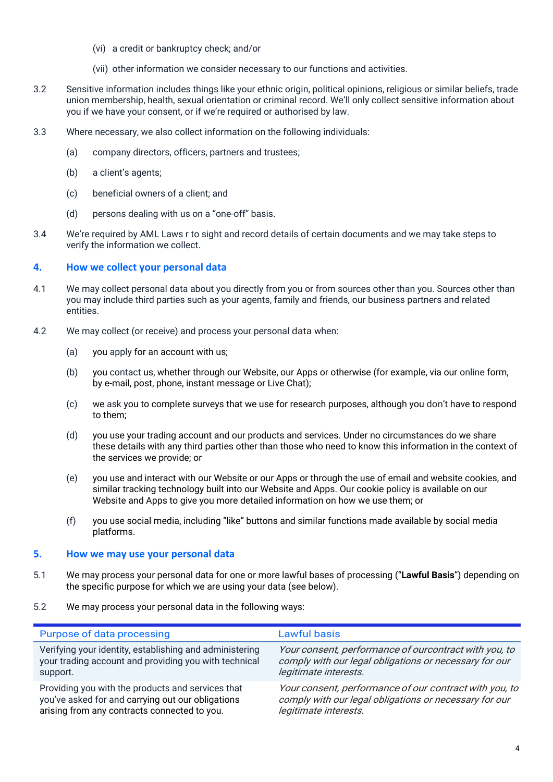- (vi) a credit or bankruptcy check; and/or
- (vii) other information we consider necessary to our functions and activities.
- 3.2 Sensitive information includes things like your ethnic origin, political opinions, religious or similar beliefs, trade union membership, health, sexual orientation or criminal record. We'll only collect sensitive information about you if we have your consent, or if we're required or authorised by law.
- 3.3 Where necessary, we also collect information on the following individuals:
	- (a) company directors, officers, partners and trustees;
	- (b) a client's agents;
	- (c) beneficial owners of a client; and
	- (d) persons dealing with us on a "one-off" basis.
- 3.4 We're required by AML Laws r to sight and record details of certain documents and we may take steps to verify the information we collect.

### <span id="page-3-0"></span>**4. How we collect your personal data**

- 4.1 We may collect personal data about you directly from you or from sources other than you. Sources other than you may include third parties such as your agents, family and friends, our business partners and related entities.
- 4.2 We may collect (or receive) and process your personal data when:
	- (a) you apply for an account with us;
	- (b) you contact us, whether through our Website, our Apps or otherwise (for example, via our online form, by e-mail, post, phone, instant message or Live Chat);
	- (c) we ask you to complete surveys that we use for research purposes, although you don't have to respond to them;
	- (d) you use your trading account and our products and services. Under no circumstances do we share these details with any third parties other than those who need to know this information in the context of the services we provide; or
	- (e) you use and interact with our Website or our Apps or through the use of email and website cookies, and similar tracking technology built into our Website and Apps. Our cookie policy is available on our Website and Apps to give you more detailed information on how we use them; or
	- (f) you use social media, including "like" buttons and similar functions made available by social media platforms.

#### <span id="page-3-1"></span>**5. How we may use your personal data**

- 5.1 We may process your personal data for one or more lawful bases of processing ("**Lawful Basis**") depending on the specific purpose for which we are using your data (see below).
- 5.2 We may process your personal data in the following ways:

| Purpose of data processing                              | Lawful basis                                           |
|---------------------------------------------------------|--------------------------------------------------------|
| Verifying your identity, establishing and administering | Your consent, performance of ourcontract with you, to  |
| your trading account and providing you with technical   | comply with our legal obligations or necessary for our |
| support.                                                | legitimate interests.                                  |
| Providing you with the products and services that       | Your consent, performance of our contract with you, to |
| you've asked for and carrying out our obligations       | comply with our legal obligations or necessary for our |
| arising from any contracts connected to you.            | legitimate interests.                                  |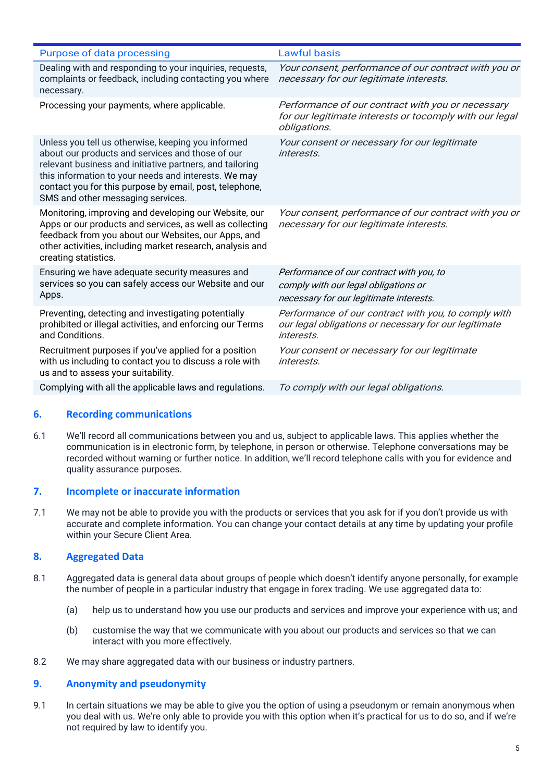| Purpose of data processing                                                                                                                                                                                                                                                                                                 | <b>Lawful basis</b>                                                                                                                |
|----------------------------------------------------------------------------------------------------------------------------------------------------------------------------------------------------------------------------------------------------------------------------------------------------------------------------|------------------------------------------------------------------------------------------------------------------------------------|
| Dealing with and responding to your inquiries, requests,<br>complaints or feedback, including contacting you where<br>necessary.                                                                                                                                                                                           | Your consent, performance of our contract with you or<br>necessary for our legitimate interests.                                   |
| Processing your payments, where applicable.                                                                                                                                                                                                                                                                                | Performance of our contract with you or necessary<br>for our legitimate interests or tocomply with our legal<br>obligations.       |
| Unless you tell us otherwise, keeping you informed<br>about our products and services and those of our<br>relevant business and initiative partners, and tailoring<br>this information to your needs and interests. We may<br>contact you for this purpose by email, post, telephone,<br>SMS and other messaging services. | Your consent or necessary for our legitimate<br><i>interests</i>                                                                   |
| Monitoring, improving and developing our Website, our<br>Apps or our products and services, as well as collecting<br>feedback from you about our Websites, our Apps, and<br>other activities, including market research, analysis and<br>creating statistics.                                                              | Your consent, performance of our contract with you or<br>necessary for our legitimate interests.                                   |
| Ensuring we have adequate security measures and<br>services so you can safely access our Website and our<br>Apps.                                                                                                                                                                                                          | Performance of our contract with you, to<br>comply with our legal obligations or<br>necessary for our legitimate interests.        |
| Preventing, detecting and investigating potentially<br>prohibited or illegal activities, and enforcing our Terms<br>and Conditions.                                                                                                                                                                                        | Performance of our contract with you, to comply with<br>our legal obligations or necessary for our legitimate<br><i>interests.</i> |
| Recruitment purposes if you've applied for a position<br>with us including to contact you to discuss a role with<br>us and to assess your suitability.                                                                                                                                                                     | Your consent or necessary for our legitimate<br><i>interests.</i>                                                                  |
| Complying with all the applicable laws and regulations.                                                                                                                                                                                                                                                                    | To comply with our legal obligations.                                                                                              |

### <span id="page-4-0"></span>**6. Recording communications**

6.1 We'll record all communications between you and us, subject to applicable laws. This applies whether the communication is in electronic form, by telephone, in person or otherwise. Telephone conversations may be recorded without warning or further notice. In addition, we'll record telephone calls with you for evidence and quality assurance purposes.

### <span id="page-4-1"></span>**7. Incomplete or inaccurate information**

7.1 We may not be able to provide you with the products or services that you ask for if you don't provide us with accurate and complete information. You can change your contact details at any time by updating your profile within your Secure Client Area.

### <span id="page-4-2"></span>**8. Aggregated Data**

- 8.1 Aggregated data is general data about groups of people which doesn't identify anyone personally, for example the number of people in a particular industry that engage in forex trading. We use aggregated data to:
	- (a) help us to understand how you use our products and services and improve your experience with us; and
	- (b) customise the way that we communicate with you about our products and services so that we can interact with you more effectively.
- <span id="page-4-3"></span>8.2 We may share aggregated data with our business or industry partners.

### **9. Anonymity and pseudonymity**

9.1 In certain situations we may be able to give you the option of using a pseudonym or remain anonymous when you deal with us. We're only able to provide you with this option when it's practical for us to do so, and if we're not required by law to identify you.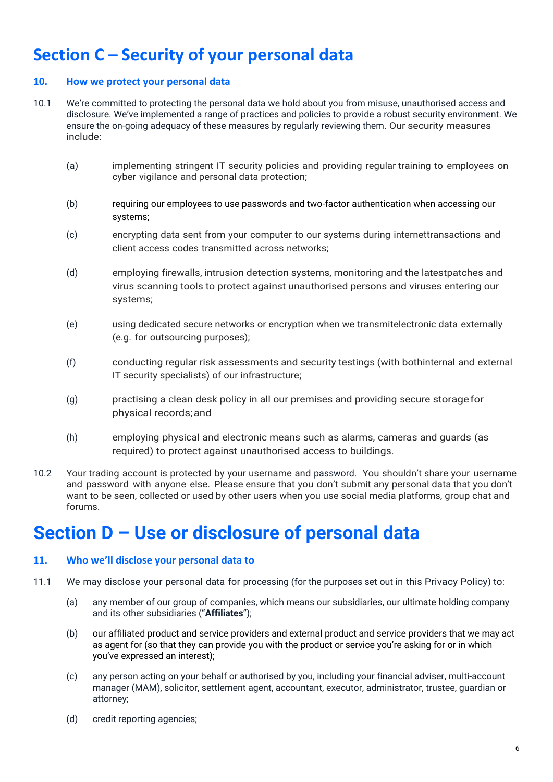## <span id="page-5-0"></span>**Section C – Security of your personal data**

### <span id="page-5-1"></span>**10. How we protect your personal data**

- 10.1 We're committed to protecting the personal data we hold about you from misuse, unauthorised access and disclosure. We've implemented a range of practices and policies to provide a robust security environment. We ensure the on-going adequacy of these measures by regularly reviewing them. Our security measures include:
	- (a) implementing stringent IT security policies and providing regular training to employees on cyber vigilance and personal data protection;
	- (b) requiring our employees to use passwords and two-factor authentication when accessing our systems;
	- (c) encrypting data sent from your computer to our systems during internettransactions and client access codes transmitted across networks;
	- (d) employing firewalls, intrusion detection systems, monitoring and the latestpatches and virus scanning tools to protect against unauthorised persons and viruses entering our systems;
	- (e) using dedicated secure networks or encryption when we transmitelectronic data externally (e.g. for outsourcing purposes);
	- (f) conducting regular risk assessments and security testings (with bothinternal and external IT security specialists) of our infrastructure;
	- (g) practising a clean desk policy in all our premises and providing secure storagefor physical records;and
	- (h) employing physical and electronic means such as alarms, cameras and guards (as required) to protect against unauthorised access to buildings.
- 10.2 Your trading account is protected by your username and password. You shouldn't share your username and password with anyone else. Please ensure that you don't submit any personal data that you don't want to be seen, collected or used by other users when you use social media platforms, group chat and forums.

## <span id="page-5-2"></span>**Section D – Use or disclosure of personal data**

### <span id="page-5-3"></span>**11. Who we'll disclose your personal data to**

- 11.1 We may disclose your personal data for processing (for the purposes set out in this Privacy Policy) to:
	- (a) any member of our group of companies, which means our subsidiaries, our ultimate holding company and its other subsidiaries ("**Affiliates**");
	- (b) our affiliated product and service providers and external product and service providers that we may act as agent for (so that they can provide you with the product or service you're asking for or in which you've expressed an interest);
	- (c) any person acting on your behalf or authorised by you, including your financial adviser, multi-account manager (MAM), solicitor, settlement agent, accountant, executor, administrator, trustee, guardian or attorney;
	- (d) credit reporting agencies;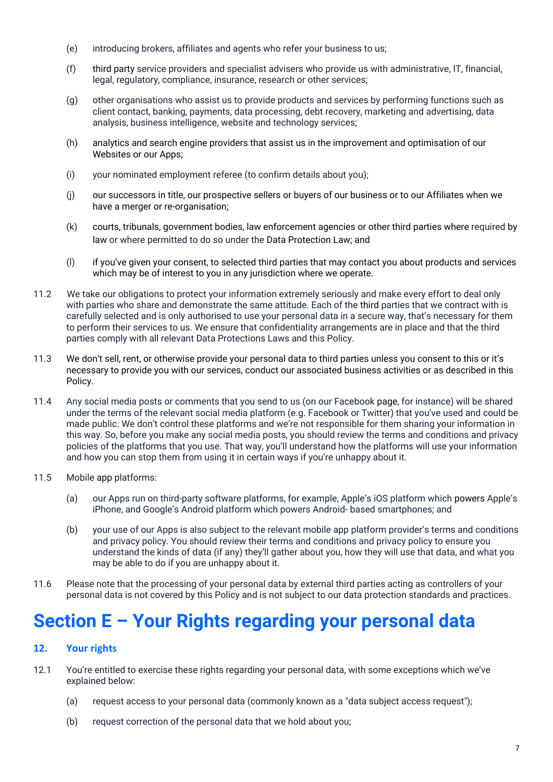- (e) introducing brokers, affiliates and agents who refer your business to us;
- (f) third party service providers and specialist advisers who provide us with administrative, IT, financial, legal, regulatory, compliance, insurance, research or other services;
- (g) other organisations who assist us to provide products and services by performing functions such as client contact, banking, payments, data processing, debt recovery, marketing and advertising, data analysis, business intelligence, website and technology services;
- (h) analytics and search engine providers that assist us in the improvement and optimisation of our Websites or our Apps;
- (i) your nominated employment referee (to confirm details about you);
- (j) our successors in title, our prospective sellers or buyers of our business or to our Affiliates when we have a merger or re-organisation;
- (k) courts, tribunals, government bodies, law enforcement agencies or other third parties where required by law or where permitted to do so under the Data Protection Law; and
- (l) if you've given your consent, to selected third parties that may contact you about products and services which may be of interest to you in any jurisdiction where we operate.
- 11.2 We take our obligations to protect your information extremely seriously and make every effort to deal only with parties who share and demonstrate the same attitude. Each of the third parties that we contract with is carefully selected and is only authorised to use your personal data in a secure way, that's necessary for them to perform their services to us. We ensure that confidentiality arrangements are in place and that the third parties comply with all relevant Data Protections Laws and this Policy.
- 11.3 We don't sell, rent, or otherwise provide your personal data to third parties unless you consent to this or it's necessary to provide you with our services, conduct our associated business activities or as described in this Policy.
- 11.4 Any social media posts or comments that you send to us (on our Facebook page, for instance) will be shared under the terms of the relevant social media platform (e.g. Facebook or Twitter) that you've used and could be made public. We don't control these platforms and we're not responsible for them sharing your information in this way. So, before you make any social media posts, you should review the terms and conditions and privacy policies of the platforms that you use. That way, you'll understand how the platforms will use your information and how you can stop them from using it in certain ways if you're unhappy about it.
- 11.5 Mobile app platforms:
	- (a) our Apps run on third-party software platforms, for example, Apple's iOS platform which powers Apple's iPhone, and Google's Android platform which powers Android- based smartphones; and
	- (b) your use of our Apps is also subject to the relevant mobile app platform provider's terms and conditions and privacy policy. You should review their terms and conditions and privacy policy to ensure you understand the kinds of data (if any) they'll gather about you, how they will use that data, and what you may be able to do if you are unhappy about it.
- <span id="page-6-0"></span>11.6 Please note that the processing of your personal data by external third parties acting as controllers of your personal data is not covered by this Policy and is not subject to our data protection standards and practices.

## **Section E – Your Rights regarding your personal data**

### <span id="page-6-1"></span>**12. Your rights**

- 12.1 You're entitled to exercise these rights regarding your personal data, with some exceptions which we've explained below:
	- (a) request access to your personal data (commonly known as a "data subject access request");
	- (b) request correction of the personal data that we hold about you;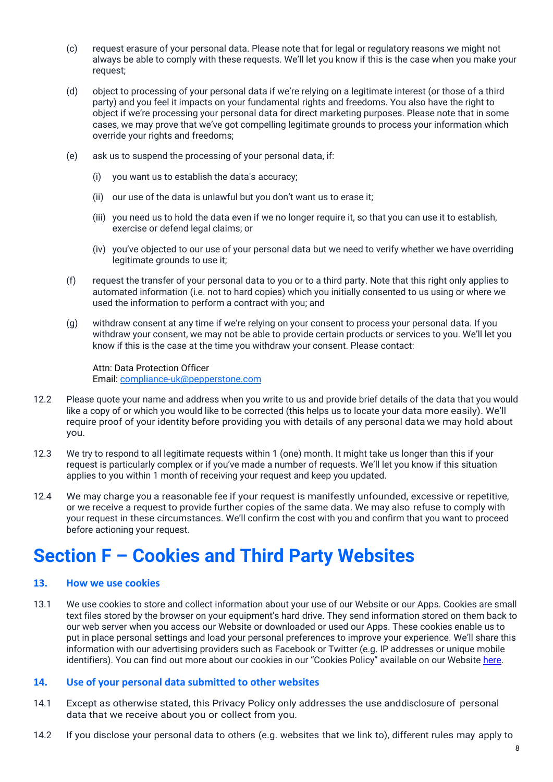- (c) request erasure of your personal data. Please note that for legal or regulatory reasons we might not always be able to comply with these requests. We'll let you know if this is the case when you make your request;
- (d) object to processing of your personal data if we're relying on a legitimate interest (or those of a third party) and you feel it impacts on your fundamental rights and freedoms. You also have the right to object if we're processing your personal data for direct marketing purposes. Please note that in some cases, we may prove that we've got compelling legitimate grounds to process your information which override your rights and freedoms;
- (e) ask us to suspend the processing of your personal data, if:
	- (i) you want us to establish the data's accuracy;
	- (ii) our use of the data is unlawful but you don't want us to erase it;
	- (iii) you need us to hold the data even if we no longer require it, so that you can use it to establish, exercise or defend legal claims; or
	- (iv) you've objected to our use of your personal data but we need to verify whether we have overriding legitimate grounds to use it;
- (f) request the transfer of your personal data to you or to a third party. Note that this right only applies to automated information (i.e. not to hard copies) which you initially consented to us using or where we used the information to perform a contract with you; and
- (g) withdraw consent at any time if we're relying on your consent to process your personal data. If you withdraw your consent, we may not be able to provide certain products or services to you. We'll let you know if this is the case at the time you withdraw your consent. Please contact:

Attn: Data Protection Officer Email: compliance-uk@pepperstone.com

- 12.2 Please quote your name and address when you write to us and provide brief details of the data that you would like a copy of or which you would like to be corrected (this helps us to locate your data more easily). We'll require proof of your identity before providing you with details of any personal data we may hold about you.
- 12.3 We try to respond to all legitimate requests within 1 (one) month. It might take us longer than this if your request is particularly complex or if you've made a number of requests. We'll let you know if this situation applies to you within 1 month of receiving your request and keep you updated.
- 12.4 We may charge you a reasonable fee if your request is manifestly unfounded, excessive or repetitive, or we receive a request to provide further copies of the same data. We may also refuse to comply with your request in these circumstances. We'll confirm the cost with you and confirm that you want to proceed before actioning your request.

## <span id="page-7-0"></span>**Section F – Cookies and Third Party Websites**

### <span id="page-7-1"></span>**13. How we use cookies**

13.1 We use cookies to store and collect information about your use of our Website or our Apps. Cookies are small text files stored by the browser on your equipment's hard drive. They send information stored on them back to our web server when you access our Website or downloaded or used our Apps. These cookies enable us to put in place personal settings and load your personal preferences to improve your experience. We'll share this information with our advertising providers such as Facebook or Twitter (e.g. IP addresses or unique mobile identifiers). You can find out more about our cookies in our "Cookies Policy" available on our Website [here.](https://assets.pepperstone.com/legal/UK_EU/Cookie_Policy.pdf)

### <span id="page-7-2"></span>**14. Use of your personal data submitted to other websites**

- 14.1 Except as otherwise stated, this Privacy Policy only addresses the use anddisclosure of personal data that we receive about you or collect from you.
- 14.2 If you disclose your personal data to others (e.g. websites that we link to), different rules may apply to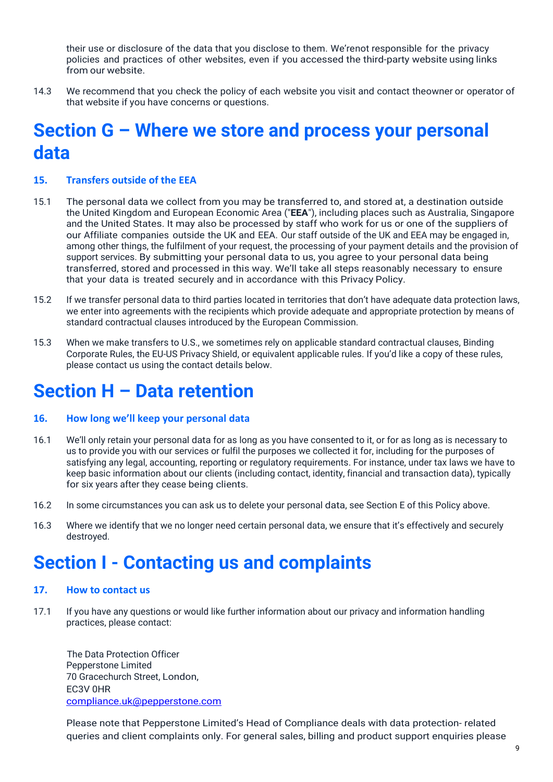their use or disclosure of the data that you disclose to them. We'renot responsible for the privacy policies and practices of other websites, even if you accessed the third-party website using links from our website.

14.3 We recommend that you check the policy of each website you visit and contact theowner or operator of that website if you have concerns or questions.

## <span id="page-8-0"></span>**Section G – Where we store and process your personal data**

### <span id="page-8-1"></span>**15. Transfers outside of the EEA**

- 15.1 The personal data we collect from you may be transferred to, and stored at, a destination outside the United Kingdom and European Economic Area ("**EEA**"), including places such as Australia, Singapore and the United States. It may also be processed by staff who work for us or one of the suppliers of our Affiliate companies outside the UK and EEA. Our staff outside of the UK and EEA may be engaged in, among other things, the fulfilment of your request, the processing of your payment details and the provision of support services. By submitting your personal data to us, you agree to your personal data being transferred, stored and processed in this way. We'll take all steps reasonably necessary to ensure that your data is treated securely and in accordance with this Privacy Policy.
- 15.2 If we transfer personal data to third parties located in territories that don't have adequate data protection laws, we enter into agreements with the recipients which provide adequate and appropriate protection by means of standard contractual clauses introduced by the European Commission.
- 15.3 When we make transfers to U.S., we sometimes rely on applicable standard contractual clauses, Binding Corporate Rules, the EU-US Privacy Shield, or equivalent applicable rules. If you'd like a copy of these rules, please contact us using the contact details below.

## <span id="page-8-2"></span>**Section H – Data retention**

### <span id="page-8-3"></span>**16. How long we'll keep your personal data**

- 16.1 We'll only retain your personal data for as long as you have consented to it, or for as long as is necessary to us to provide you with our services or fulfil the purposes we collected it for, including for the purposes of satisfying any legal, accounting, reporting or regulatory requirements. For instance, under tax laws we have to keep basic information about our clients (including contact, identity, financial and transaction data), typically for six years after they cease being clients.
- 16.2 In some circumstances you can ask us to delete your personal data, see Section E of this Policy above.
- 16.3 Where we identify that we no longer need certain personal data, we ensure that it's effectively and securely destroyed.

## <span id="page-8-4"></span>**Section I - Contacting us and complaints**

#### <span id="page-8-5"></span>**17. How to contact us**

17.1 If you have any questions or would like further information about our privacy and information handling practices, please contact:

The Data Protection Officer Pepperstone Limited 70 Gracechurch Street, London, EC3V 0HR [compliance.uk@pepperstone.com](mailto:compliance.uk@pepperstone.com)

Please note that Pepperstone Limited's Head of Compliance deals with data protection- related queries and client complaints only. For general sales, billing and product support enquiries please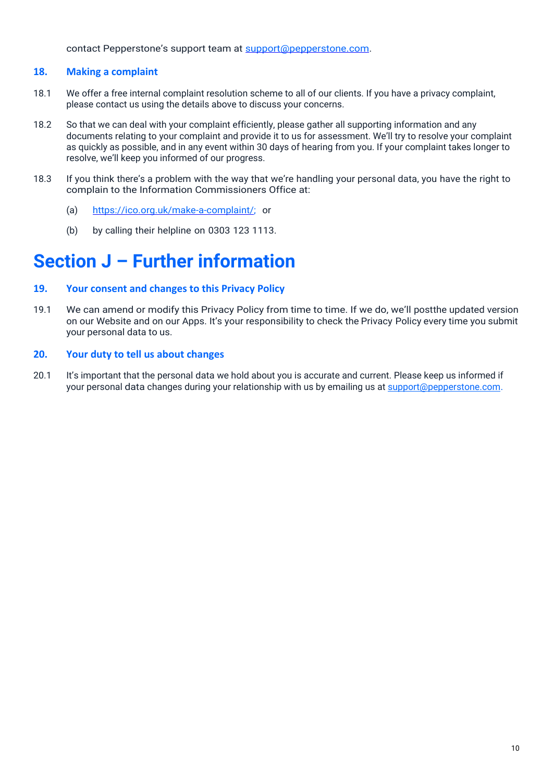contact Pepperstone's support team at [support@pepperstone.com.](mailto:support@pepperstone.com)

### <span id="page-9-0"></span>**18. Making a complaint**

- 18.1 We offer a free internal complaint resolution scheme to all of our clients. If you have a privacy complaint, please contact us using the details above to discuss your concerns.
- 18.2 So that we can deal with your complaint efficiently, please gather all supporting information and any documents relating to your complaint and provide it to us for assessment. We'll try to resolve your complaint as quickly as possible, and in any event within 30 days of hearing from you. If your complaint takes longer to resolve, we'll keep you informed of our progress.
- 18.3 If you think there's a problem with the way that we're handling your personal data, you have the right to complain to the Information Commissioners Office at:
	- (a) [https://ico.org.uk/make-a-complaint/; o](https://ico.org.uk/make-a-complaint/)r
	- (b) by calling their helpline on 0303 123 1113.

## **Section J – Further information**

### <span id="page-9-1"></span>**19. Your consent and changes to this Privacy Policy**

19.1 We can amend or modify this Privacy Policy from time to time. If we do, we'll postthe updated version on our Website and on our Apps. It's your responsibility to check the Privacy Policy every time you submit your personal data to us.

### <span id="page-9-2"></span>**20. Your duty to tell us about changes**

20.1 It's important that the personal data we hold about you is accurate and current. Please keep us informed if your personal data changes during your relationship with us by emailing us a[t support@pepperstone.com.](mailto:support@pepperstone.com)